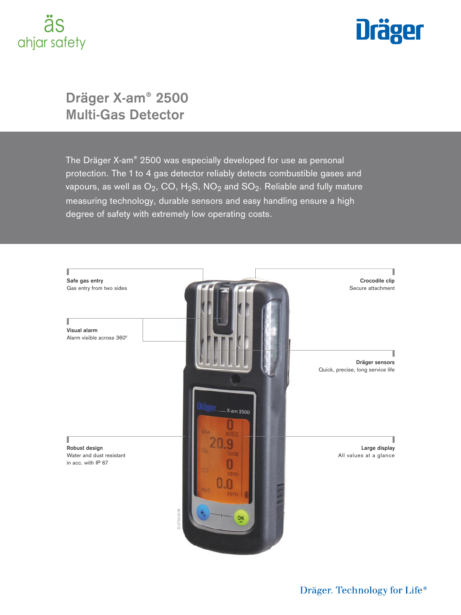## äs ahjar safety



## **Dräger X-am® 2500 Multi-Gas Detector**

The Dräger X-am® 2500 was especially developed for use as personal protection. The 1 to 4 gas detector reliably detects combustible gases and vapours, as well as  $O_2$ , CO, H<sub>2</sub>S, NO<sub>2</sub> and SO<sub>2</sub>. Reliable and fully mature measuring technology, durable sensors and easy handling ensure a high degree of safety with extremely low operating costs.

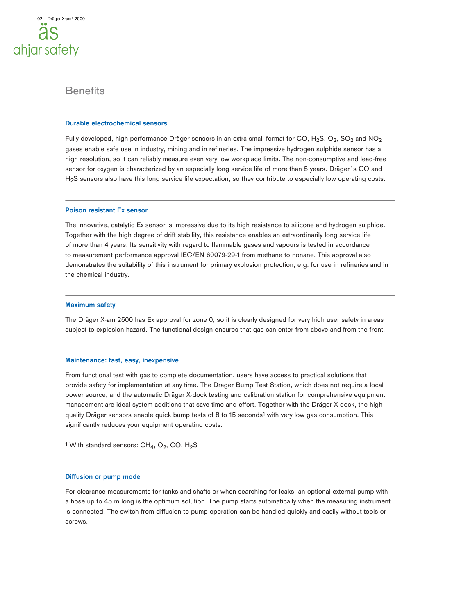### **Benefits**

### **Durable electrochemical sensors**

Fully developed, high performance Dräger sensors in an extra small format for CO,  $H_2S$ , O<sub>2</sub>, SO<sub>2</sub> and NO<sub>2</sub> gases enable safe use in industry, mining and in refineries. The impressive hydrogen sulphide sensor has a high resolution, so it can reliably measure even very low workplace limits. The non-consumptive and lead-free sensor for oxygen is characterized by an especially long service life of more than 5 years. Dräger's CO and H<sub>2</sub>S sensors also have this long service life expectation, so they contribute to especially low operating costs.

#### **Poison resistant Ex sensor**

The innovative, catalytic Ex sensor is impressive due to its high resistance to silicone and hydrogen sulphide. Together with the high degree of drift stability, this resistance enables an extraordinarily long service life of more than 4 years. Its sensitivity with regard to flammable gases and vapours is tested in accordance to measurement performance approval IEC/EN 60079-29-1 from methane to nonane. This approval also demonstrates the suitability of this instrument for primary explosion protection, e.g. for use in refineries and in the chemical industry.

#### **Maximum safety**

The Dräger X-am 2500 has Ex approval for zone 0, so it is clearly designed for very high user safety in areas subject to explosion hazard. The functional design ensures that gas can enter from above and from the front.

#### **Maintenance: fast, easy, inexpensive**

From functional test with gas to complete documentation, users have access to practical solutions that provide safety for implementation at any time. The Dräger Bump Test Station, which does not require a local power source, and the automatic Dräger X-dock testing and calibration station for comprehensive equipment management are ideal system additions that save time and effort. Together with the Dräger X-dock, the high quality Dräger sensors enable quick bump tests of 8 to 15 seconds<sup>1</sup> with very low gas consumption. This significantly reduces your equipment operating costs.

<sup>1</sup> With standard sensors:  $CH_4$ ,  $O_2$ , CO,  $H_2S$ 

#### **Diffusion or pump mode**

For clearance measurements for tanks and shafts or when searching for leaks, an optional external pump with a hose up to 45 m long is the optimum solution. The pump starts automatically when the measuring instrument is connected. The switch from diffusion to pump operation can be handled quickly and easily without tools or screws.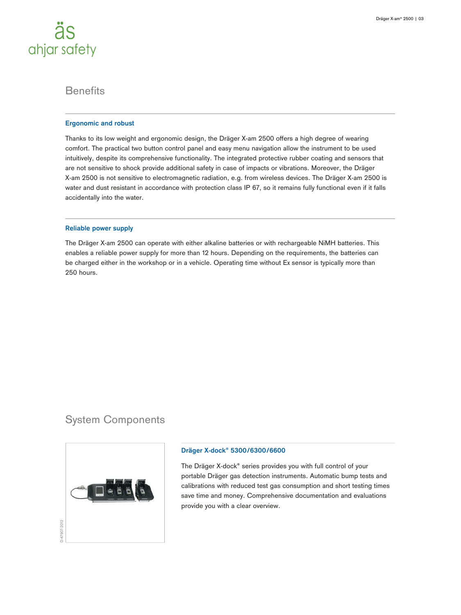

### **Benefits**

### **Ergonomic and robust**

Thanks to its low weight and ergonomic design, the Dräger X-am 2500 offers a high degree of wearing comfort. The practical two button control panel and easy menu navigation allow the instrument to be used intuitively, despite its comprehensive functionality. The integrated protective rubber coating and sensors that are not sensitive to shock provide additional safety in case of impacts or vibrations. Moreover, the Dräger X-am 2500 is not sensitive to electromagnetic radiation, e.g. from wireless devices. The Dräger X-am 2500 is water and dust resistant in accordance with protection class IP 67, so it remains fully functional even if it falls accidentally into the water.

### **Reliable power supply**

The Dräger X-am 2500 can operate with either alkaline batteries or with rechargeable NiMH batteries. This enables a reliable power supply for more than 12 hours. Depending on the requirements, the batteries can be charged either in the workshop or in a vehicle. Operating time without Ex sensor is typically more than 250 hours.

### System Components



### **Dräger X-dock® 5300/6300/6600**

The Dräger X-dock® series provides you with full control of your portable Dräger gas detection instruments. Automatic bump tests and calibrations with reduced test gas consumption and short testing times save time and money. Comprehensive documentation and evaluations provide you with a clear overview.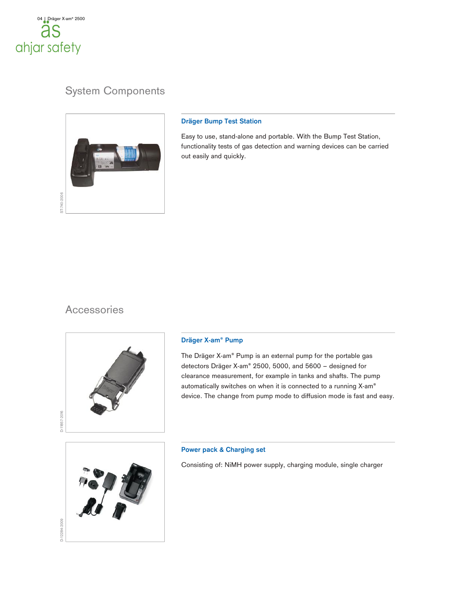

## System Components



### **Dräger Bump Test Station**

Easy to use, stand-alone and portable. With the Bump Test Station, functionality tests of gas detection and warning devices can be carried out easily and quickly.

### Accessories



### **Dräger X-am® Pump**

The Dräger X-am® Pump is an external pump for the portable gas detectors Dräger X-am® 2500, 5000, and 5600 – designed for clearance measurement, for example in tanks and shafts. The pump automatically switches on when it is connected to a running X-am® device. The change from pump mode to diffusion mode is fast and easy.



### **Power pack & Charging set**

Consisting of: NiMH power supply, charging module, single charger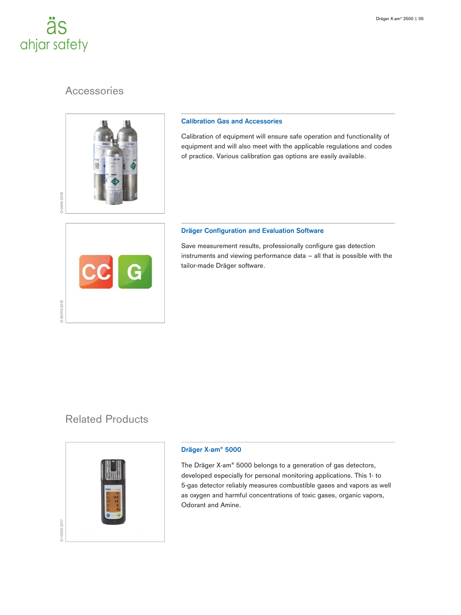## äs ahjar safety

D-30746-2015

## **Accessories**



### **Calibration Gas and Accessories**

Calibration of equipment will ensure safe operation and functionality of equipment and will also meet with the applicable regulations and codes of practice. Various calibration gas options are easily available.

### **Dräger Configuration and Evaluation Software**

Save measurement results, professionally configure gas detection instruments and viewing performance data – all that is possible with the tailor-made Dräger software.

# Related Products



### **Dräger X-am® 5000**

The Dräger X-am® 5000 belongs to a generation of gas detectors, developed especially for personal monitoring applications. This 1- to 5-gas detector reliably measures combustible gases and vapors as well as oxygen and harmful concentrations of toxic gases, organic vapors, Odorant and Amine.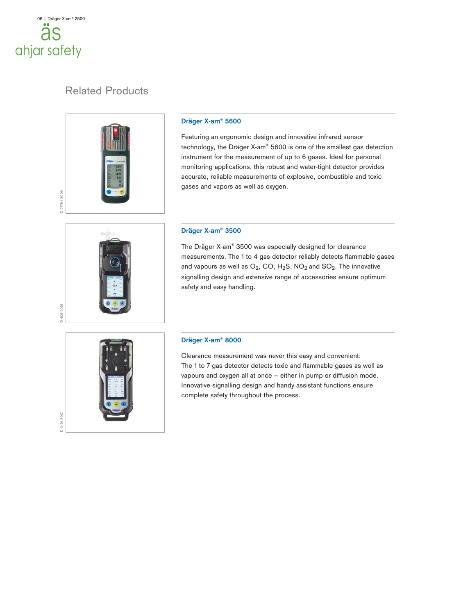## 06 | Dräger X-am® 2500 a ahjar safety

## Related Products



### **Dräger X-am® 5600**

Featuring an ergonomic design and innovative infrared sensor technology, the Dräger X-am® 5600 is one of the smallest gas detection instrument for the measurement of up to 6 gases. Ideal for personal monitoring applications, this robust and water-tight detector provides accurate, reliable measurements of explosive, combustible and toxic gases and vapors as well as oxygen.

### **Dräger X-am® 3500**

The Dräger X-am® 3500 was especially designed for clearance measurements. The 1 to 4 gas detector reliably detects flammable gases and vapours as well as  $O_2$ , CO, H<sub>2</sub>S, NO<sub>2</sub> and SO<sub>2</sub>. The innovative signalling design and extensive range of accessories ensure optimum safety and easy handling.



D-406-2018

### **Dräger X-am® 8000**

Clearance measurement was never this easy and convenient: The 1 to 7 gas detector detects toxic and flammable gases as well as vapours and oxygen all at once – either in pump or diffusion mode. Innovative signalling design and handy assistant functions ensure complete safety throughout the process.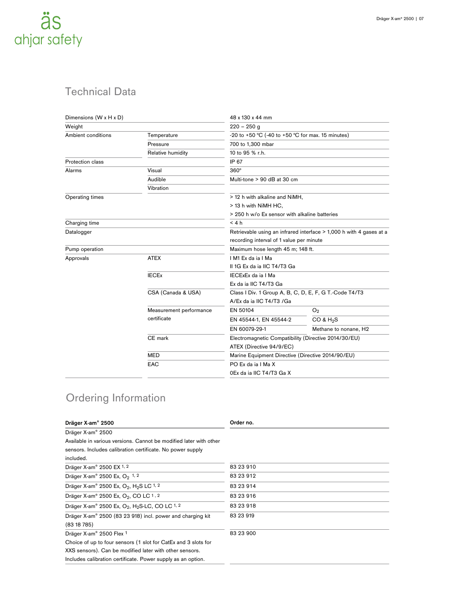

## Technical Data

| Dimensions (W x H x D) |                         | 48 x 130 x 44 mm                                                    |                       |  |  |
|------------------------|-------------------------|---------------------------------------------------------------------|-----------------------|--|--|
| Weight                 |                         | $220 - 250$ g                                                       |                       |  |  |
| Ambient conditions     | Temperature             | -20 to +50 °C (-40 to +50 °C for max. 15 minutes)                   |                       |  |  |
|                        | Pressure                | 700 to 1,300 mbar                                                   |                       |  |  |
|                        | Relative humidity       | 10 to 95 % r.h.                                                     |                       |  |  |
| Protection class       |                         | IP 67                                                               |                       |  |  |
| Alarms                 | Visual                  | $360^\circ$                                                         |                       |  |  |
|                        | Audible                 | Multi-tone > 90 dB at 30 cm                                         |                       |  |  |
|                        | Vibration               |                                                                     |                       |  |  |
| Operating times        |                         | > 12 h with alkaline and NiMH,                                      |                       |  |  |
|                        |                         | > 13 h with NiMH HC,                                                |                       |  |  |
|                        |                         | > 250 h w/o Ex sensor with alkaline batteries                       |                       |  |  |
| Charging time          |                         | < 4 h                                                               |                       |  |  |
| Datalogger             |                         | Retrievable using an infrared interface > 1,000 h with 4 gases at a |                       |  |  |
|                        |                         | recording interval of 1 value per minute                            |                       |  |  |
| Pump operation         |                         | Maximum hose length 45 m; 148 ft.                                   |                       |  |  |
| Approvals              | <b>ATEX</b>             | IM1 Ex da ja I Ma                                                   |                       |  |  |
|                        |                         | II 1G Ex da ja IIC T4/T3 Ga                                         |                       |  |  |
|                        | <b>IECEx</b>            | IECExEx da ia I Ma                                                  |                       |  |  |
|                        |                         | Ex da ja IIC T4/T3 Ga                                               |                       |  |  |
|                        | CSA (Canada & USA)      | Class I Div. 1 Group A, B, C, D, E, F, G T.-Code T4/T3              |                       |  |  |
|                        |                         | A/Ex da ja IIC T4/T3 /Ga                                            |                       |  |  |
|                        | Measurement performance | EN 50104                                                            | O <sub>2</sub>        |  |  |
|                        | certificate             | EN 45544-1, EN 45544-2                                              | CO & H <sub>2</sub> S |  |  |
|                        |                         | EN 60079-29-1                                                       | Methane to nonane, H2 |  |  |
|                        | CE mark                 | Electromagnetic Compatibility (Directive 2014/30/EU)                |                       |  |  |
|                        |                         | ATEX (Directive 94/9/EC)                                            |                       |  |  |
|                        | <b>MED</b>              | Marine Equipment Directive (Directive 2014/90/EU)                   |                       |  |  |
|                        | EAC                     | PO Ex da ia I Ma X<br>0Ex da ia IIC T4/T3 Ga X                      |                       |  |  |
|                        |                         |                                                                     |                       |  |  |

## Ordering Information

| Dräger X-am® 2500                                                                 | Order no. |
|-----------------------------------------------------------------------------------|-----------|
| Dräger X-am® 2500                                                                 |           |
| Available in various versions. Cannot be modified later with other                |           |
| sensors. Includes calibration certificate. No power supply                        |           |
| included.                                                                         |           |
| Dräger X-am® 2500 EX 1, 2                                                         | 83 23 910 |
| Dräger X-am <sup>®</sup> 2500 Ex, O <sub>2</sub> <sup>1, 2</sup>                  | 83 23 912 |
| Dräger X-am® 2500 Ex, O <sub>2</sub> , H <sub>2</sub> S LC <sup>1, 2</sup>        | 83 23 914 |
| Dräger X-am® 2500 Ex, O <sub>2</sub> , CO LC 1, 2                                 | 83 23 916 |
| Dräger X-am® 2500 Ex, O <sub>2</sub> , H <sub>2</sub> S-LC, CO LC <sup>1, 2</sup> | 83 23 918 |
| Dräger X-am® 2500 (83 23 918) incl. power and charging kit                        | 83 23 919 |
| (8318785)                                                                         |           |
| Dräger X-am® 2500 Flex 1                                                          | 83 23 900 |
| Choice of up to four sensors (1 slot for CatEx and 3 slots for                    |           |
| XXS sensors). Can be modified later with other sensors.                           |           |
| Includes calibration certificate. Power supply as an option.                      |           |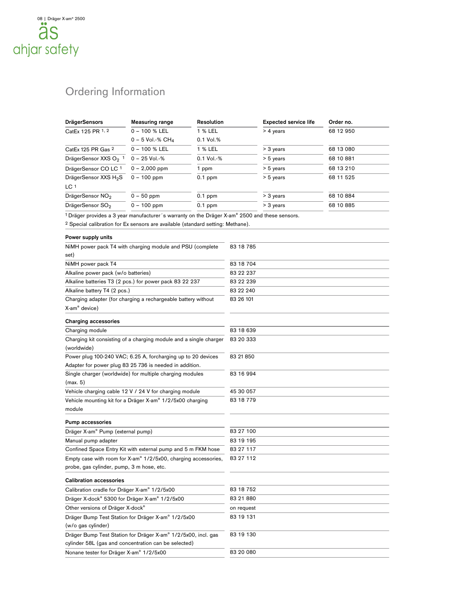## Ordering Information

| <b>DrägerSensors</b>                                                                                                  | <b>Measuring range</b>                                                                                    | Resolution |           | <b>Expected service life</b> | Order no. |
|-----------------------------------------------------------------------------------------------------------------------|-----------------------------------------------------------------------------------------------------------|------------|-----------|------------------------------|-----------|
| CatEx 125 PR 1, 2                                                                                                     | $0 - 100$ % LEL                                                                                           | 1 % LEL    |           | > 4 years                    | 68 12 950 |
|                                                                                                                       | $0 - 5$ Vol.-% CH <sub>4</sub>                                                                            | 0.1 Vol.%  |           |                              |           |
| CatEx 125 PR Gas <sup>2</sup>                                                                                         | 0 - 100 % LEL                                                                                             | 1 % LEL    |           | > 3 years                    | 68 13 080 |
| DrägerSensor XXS O <sub>2</sub> 1                                                                                     | 0 - 25 Vol.-%                                                                                             | 0.1 Vol.-% |           | > 5 years                    | 68 10 881 |
| DrägerSensor CO LC 1                                                                                                  | $0 - 2,000$ ppm                                                                                           | 1 ppm      |           | > 5 years                    | 68 13 210 |
| DrägerSensor XXS H <sub>2</sub> S                                                                                     | $0 - 100$ ppm                                                                                             | $0.1$ ppm  |           | > 5 years                    | 68 11 525 |
| LC 1                                                                                                                  |                                                                                                           |            |           |                              |           |
| DrägerSensor NO <sub>2</sub>                                                                                          | $0 - 50$ ppm                                                                                              | $0.1$ ppm  |           | > 3 years                    | 68 10 884 |
| DrägerSensor SO <sub>2</sub>                                                                                          | $0 - 100$ ppm                                                                                             | $0.1$ ppm  |           | > 3 years                    | 68 10 885 |
|                                                                                                                       | <sup>1</sup> Dräger provides a 3 year manufacturer's warranty on the Dräger X-am® 2500 and these sensors. |            |           |                              |           |
|                                                                                                                       | <sup>2</sup> Special calibration for Ex sensors are available (standard setting: Methane).                |            |           |                              |           |
| Power supply units                                                                                                    |                                                                                                           |            |           |                              |           |
|                                                                                                                       | NiMH power pack T4 with charging module and PSU (complete                                                 |            | 83 18 785 |                              |           |
| set)                                                                                                                  |                                                                                                           |            |           |                              |           |
| NiMH power pack T4                                                                                                    |                                                                                                           |            | 83 18 704 |                              |           |
| Alkaline power pack (w/o batteries)                                                                                   |                                                                                                           |            | 83 22 237 |                              |           |
|                                                                                                                       | Alkaline batteries T3 (2 pcs.) for power pack 83 22 237                                                   |            | 83 22 239 |                              |           |
| Alkaline battery T4 (2 pcs.)                                                                                          |                                                                                                           |            | 83 22 240 |                              |           |
|                                                                                                                       | Charging adapter (for charging a rechargeable battery without                                             |            | 83 26 101 |                              |           |
| X-am <sup>®</sup> device)                                                                                             |                                                                                                           |            |           |                              |           |
| <b>Charging accessories</b>                                                                                           |                                                                                                           |            |           |                              |           |
| Charging module                                                                                                       |                                                                                                           |            | 83 18 639 |                              |           |
| Charging kit consisting of a charging module and a single charger<br>(worldwide)                                      |                                                                                                           |            | 83 20 333 |                              |           |
|                                                                                                                       | Power plug 100-240 VAC; 6.25 A, forcharging up to 20 devices                                              |            | 83 21 850 |                              |           |
|                                                                                                                       | Adapter for power plug 83 25 736 is needed in addition.                                                   |            |           |                              |           |
|                                                                                                                       | Single charger (worldwide) for multiple charging modules                                                  |            | 83 16 994 |                              |           |
| (max. 5)                                                                                                              |                                                                                                           |            |           |                              |           |
| Vehicle charging cable 12 V / 24 V for charging module                                                                |                                                                                                           | 45 30 057  |           |                              |           |
|                                                                                                                       | Vehicle mounting kit for a Dräger X-am® 1/2/5x00 charging                                                 |            | 83 18 779 |                              |           |
| module                                                                                                                |                                                                                                           |            |           |                              |           |
| <b>Pump accessories</b>                                                                                               |                                                                                                           |            |           |                              |           |
| Dräger X-am® Pump (external pump)                                                                                     |                                                                                                           | 83 27 100  |           |                              |           |
| Manual pump adapter                                                                                                   |                                                                                                           | 83 19 195  |           |                              |           |
| Confined Space Entry Kit with external pump and 5 m FKM hose                                                          |                                                                                                           | 83 27 117  |           |                              |           |
| Empty case with room for X-am® 1/2/5x00, charging accessories,                                                        |                                                                                                           | 83 27 112  |           |                              |           |
| probe, gas cylinder, pump, 3 m hose, etc.                                                                             |                                                                                                           |            |           |                              |           |
| <b>Calibration accessories</b>                                                                                        |                                                                                                           |            |           |                              |           |
| Calibration cradle for Dräger X-am® 1/2/5x00                                                                          |                                                                                                           | 83 18 752  |           |                              |           |
| Dräger X-dock® 5300 for Dräger X-am® 1/2/5x00                                                                         |                                                                                                           | 83 21 880  |           |                              |           |
| Other versions of Dräger X-dock®                                                                                      |                                                                                                           | on request |           |                              |           |
| Dräger Bump Test Station for Dräger X-am® 1/2/5x00                                                                    |                                                                                                           | 83 19 131  |           |                              |           |
| (w/o gas cylinder)                                                                                                    |                                                                                                           |            |           |                              |           |
| Dräger Bump Test Station for Dräger X-am® 1/2/5x00, incl. gas<br>cylinder 58L (gas and concentration can be selected) |                                                                                                           | 83 19 130  |           |                              |           |
|                                                                                                                       | Nonane tester for Dräger X-am® 1/2/5x00                                                                   |            | 83 20 080 |                              |           |
|                                                                                                                       |                                                                                                           |            |           |                              |           |